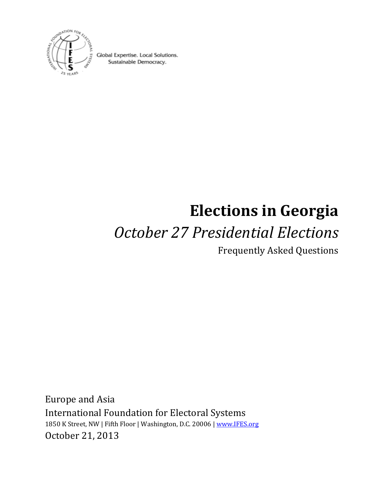

Global Expertise. Local Solutions. Sustainable Democracy.

# **Elections in Georgia**

## *October 27 Presidential Elections*

Frequently Asked Questions

Europe and Asia International Foundation for Electoral Systems 1850 K Street, NW | Fifth Floor | Washington, D.C. 20006 [| www.IFES.org](http://www.ifes.org/) October 21, 2013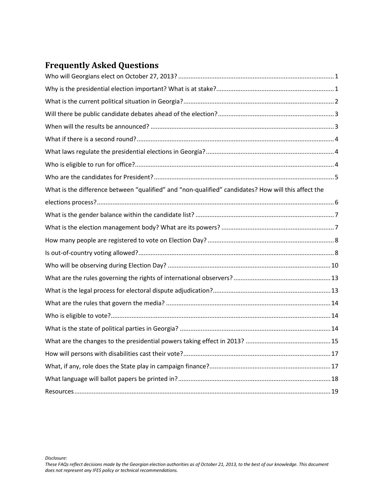## **Frequently Asked Questions**

| What is the difference between "qualified" and "non-qualified" candidates? How will this affect the |
|-----------------------------------------------------------------------------------------------------|
|                                                                                                     |
|                                                                                                     |
|                                                                                                     |
|                                                                                                     |
|                                                                                                     |
|                                                                                                     |
|                                                                                                     |
|                                                                                                     |
|                                                                                                     |
|                                                                                                     |
|                                                                                                     |
|                                                                                                     |
|                                                                                                     |
|                                                                                                     |
|                                                                                                     |
|                                                                                                     |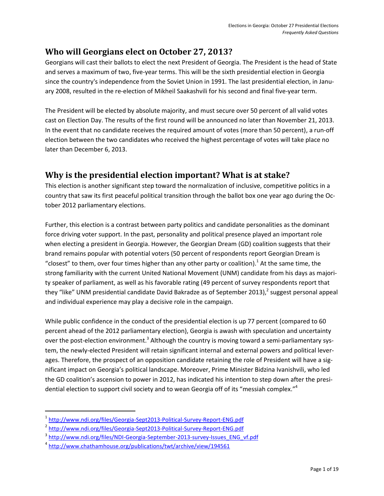#### <span id="page-2-0"></span>**Who will Georgians elect on October 27, 2013?**

Georgians will cast their ballots to elect the next President of Georgia. The President is the head of State and serves a maximum of two, five-year terms. This will be the sixth presidential election in Georgia since the country's independence from the Soviet Union in 1991. The last presidential election, in January 2008, resulted in the re-election of Mikheil Saakashvili for his second and final five-year term.

The President will be elected by absolute majority, and must secure over 50 percent of all valid votes cast on Election Day. The results of the first round will be announced no later than November 21, 2013. In the event that no candidate receives the required amount of votes (more than 50 percent), a run-off election between the two candidates who received the highest percentage of votes will take place no later than December 6, 2013.

#### <span id="page-2-1"></span>**Why is the presidential election important? What is at stake?**

This election is another significant step toward the normalization of inclusive, competitive politics in a country that saw its first peaceful political transition through the ballot box one year ago during the October 2012 parliamentary elections.

Further, this election is a contrast between party politics and candidate personalities as the dominant force driving voter support. In the past, personality and political presence played an important role when electing a president in Georgia. However, the Georgian Dream (GD) coalition suggests that their brand remains popular with potential voters (50 percent of respondents report Georgian Dream is "closest" to them, over four times higher than any other party or coalition).<sup>1</sup> At the same time, the strong familiarity with the current United National Movement (UNM) candidate from his days as majority speaker of parliament, as well as his favorable rating (49 percent of survey respondents report that they "like" UNM presidential candidate David Bakradze as of September 2013),<sup>2</sup> suggest personal appeal and individual experience may play a decisive role in the campaign.

While public confidence in the conduct of the presidential election is up 77 percent (compared to 60 percent ahead of the 2012 parliamentary election), Georgia is awash with speculation and uncertainty over the post-election environment.<sup>3</sup> Although the country is moving toward a semi-parliamentary system, the newly-elected President will retain significant internal and external powers and political leverages. Therefore, the prospect of an opposition candidate retaining the role of President will have a significant impact on Georgia's political landscape. Moreover, Prime Minister Bidzina Ivanishvili, who led the GD coalition's ascension to power in 2012, has indicated his intention to step down after the presidential election to support civil society and to wean Georgia off of its "messiah complex."<sup>4</sup>

 $\overline{a}$ 

<sup>&</sup>lt;sup>1</sup> <http://www.ndi.org/files/Georgia-Sept2013-Political-Survey-Report-ENG.pdf>

<sup>&</sup>lt;sup>2</sup> <http://www.ndi.org/files/Georgia-Sept2013-Political-Survey-Report-ENG.pdf>

<sup>&</sup>lt;sup>3</sup> [http://www.ndi.org/files/NDI-Georgia-September-2013-survey-Issues\\_ENG\\_vf.pdf](http://www.ndi.org/files/NDI-Georgia-September-2013-survey-Issues_ENG_vf.pdf)

<sup>4</sup> <http://www.chathamhouse.org/publications/twt/archive/view/194561>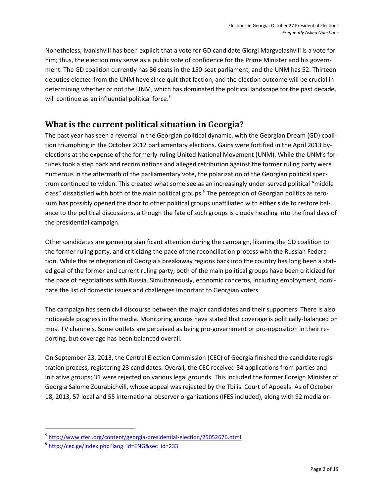Nonetheless, Ivanishvili has been explicit that a vote for GD candidate Giorgi Margvelashvili is a vote for him; thus, the election may serve as a public vote of confidence for the Prime Minister and his government. The GD coalition currently has 86 seats in the 150-seat parliament, and the UNM has 52. Thirteen deputies elected from the UNM have since quit that faction, and the election outcome will be crucial in determining whether or not the UNM, which has dominated the political landscape for the past decade, will continue as an influential political force.<sup>5</sup>

#### <span id="page-3-0"></span>**What is the current political situation in Georgia?**

The past year has seen a reversal in the Georgian political dynamic, with the Georgian Dream (GD) coalition triumphing in the October 2012 parliamentary elections. Gains were fortified in the April 2013 byelections at the expense of the formerly-ruling United National Movement (UNM). While the UNM's fortunes took a step back and recriminations and alleged retribution against the former ruling party were numerous in the aftermath of the parliamentary vote, the polarization of the Georgian political spectrum continued to widen. This created what some see as an increasingly under-served political "middle class" dissatisfied with both of the main political groups.<sup>6</sup> The perception of Georgian politics as zerosum has possibly opened the door to other political groups unaffiliated with either side to restore balance to the political discussions, although the fate of such groups is cloudy heading into the final days of the presidential campaign.

Other candidates are garnering significant attention during the campaign, likening the GD coalition to the former ruling party, and criticizing the pace of the reconciliation process with the Russian Federation. While the reintegration of Georgia's breakaway regions back into the country has long been a stated goal of the former and current ruling party, both of the main political groups have been criticized for the pace of negotiations with Russia. Simultaneously, economic concerns, including employment, dominate the list of domestic issues and challenges important to Georgian voters.

The campaign has seen civil discourse between the major candidates and their supporters. There is also noticeable progress in the media. Monitoring groups have stated that coverage is politically-balanced on most TV channels. Some outlets are perceived as being pro-government or pro-opposition in their reporting, but coverage has been balanced overall.

On September 23, 2013, the Central Election Commission (CEC) of Georgia finished the candidate registration process, registering 23 candidates. Overall, the CEC received 54 applications from parties and initiative groups; 31 were rejected on various legal grounds. This included the former Foreign Minister of Georgia Salome Zourabichvili, whose appeal was rejected by the Tbilisi Court of Appeals. As of October 18, 2013, 57 local and 55 international observer organizations (IFES included), along with 92 media or-

<sup>&</sup>lt;sup>5</sup> <http://www.rferl.org/content/georgia-presidential-election/25052676.html>

<sup>&</sup>lt;sup>6</sup> http://cec.ge/index.php?lang\_id=ENG&sec\_id=233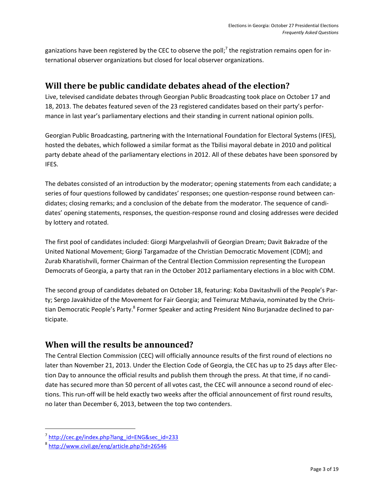ganizations have been registered by the CEC to observe the poll;<sup>7</sup> the registration remains open for international observer organizations but closed for local observer organizations.

#### <span id="page-4-0"></span>**Will there be public candidate debates ahead of the election?**

Live, televised candidate debates through Georgian Public Broadcasting took place on October 17 and 18, 2013. The debates featured seven of the 23 registered candidates based on their party's performance in last year's parliamentary elections and their standing in current national opinion polls.

Georgian Public Broadcasting, partnering with the International Foundation for Electoral Systems (IFES), hosted the debates, which followed a similar format as the Tbilisi mayoral debate in 2010 and political party debate ahead of the parliamentary elections in 2012. All of these debates have been sponsored by IFES.

The debates consisted of an introduction by the moderator; opening statements from each candidate; a series of four questions followed by candidates' responses; one question-response round between candidates; closing remarks; and a conclusion of the debate from the moderator. The sequence of candidates' opening statements, responses, the question-response round and closing addresses were decided by lottery and rotated.

The first pool of candidates included: Giorgi Margvelashvili of Georgian Dream; Davit Bakradze of the United National Movement; Giorgi Targamadze of the Christian Democratic Movement (CDM); and Zurab Kharatishvili, former Chairman of the Central Election Commission representing the European Democrats of Georgia, a party that ran in the October 2012 parliamentary elections in a bloc with CDM.

The second group of candidates debated on October 18, featuring: Koba Davitashvili of the People's Party; Sergo Javakhidze of the Movement for Fair Georgia; and Teimuraz Mzhavia, nominated by the Christian Democratic People's Party.<sup>8</sup> Former Speaker and acting President Nino Burjanadze declined to participate.

#### <span id="page-4-1"></span>**When will the results be announced?**

The Central Election Commission (CEC) will officially announce results of the first round of elections no later than November 21, 2013. Under the Election Code of Georgia, the CEC has up to 25 days after Election Day to announce the official results and publish them through the press. At that time, if no candidate has secured more than 50 percent of all votes cast, the CEC will announce a second round of elections. This run-off will be held exactly two weeks after the official announcement of first round results, no later than December 6, 2013, between the top two contenders.

<sup>&</sup>lt;sup>7</sup>http://cec.ge/index.php?lang\_id=ENG&sec\_id=233

<sup>&</sup>lt;sup>8</sup> <http://www.civil.ge/eng/article.php?id=26546>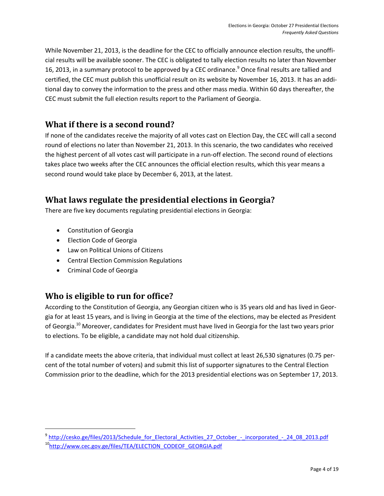While November 21, 2013, is the deadline for the CEC to officially announce election results, the unofficial results will be available sooner. The CEC is obligated to tally election results no later than November 16, 2013, in a summary protocol to be approved by a CEC ordinance.<sup>9</sup> Once final results are tallied and certified, the CEC must publish this unofficial result on its website by November 16, 2013. It has an additional day to convey the information to the press and other mass media. Within 60 days thereafter, the CEC must submit the full election results report to the Parliament of Georgia.

#### <span id="page-5-0"></span>**What if there is a second round?**

If none of the candidates receive the majority of all votes cast on Election Day, the CEC will call a second round of elections no later than November 21, 2013. In this scenario, the two candidates who received the highest percent of all votes cast will participate in a run-off election. The second round of elections takes place two weeks after the CEC announces the official election results, which this year means a second round would take place by December 6, 2013, at the latest.

#### <span id="page-5-1"></span>**What laws regulate the presidential elections in Georgia?**

There are five key documents regulating presidential elections in Georgia:

- Constitution of Georgia
- Election Code of Georgia
- Law on Political Unions of Citizens
- Central Election Commission Regulations
- Criminal Code of Georgia

 $\overline{\phantom{a}}$ 

#### <span id="page-5-2"></span>**Who is eligible to run for office?**

According to the Constitution of Georgia, any Georgian citizen who is 35 years old and has lived in Georgia for at least 15 years, and is living in Georgia at the time of the elections, may be elected as President of Georgia.<sup>10</sup> Moreover, candidates for President must have lived in Georgia for the last two years prior to elections. To be eligible, a candidate may not hold dual citizenship.

If a candidate meets the above criteria, that individual must collect at least 26,530 signatures (0.75 percent of the total number of voters) and submit this list of supporter signatures to the Central Election Commission prior to the deadline, which for the 2013 presidential elections was on September 17, 2013.

<sup>&</sup>lt;sup>9</sup> [http://cesko.ge/files/2013/Schedule\\_for\\_Electoral\\_Activities\\_27\\_October\\_-\\_incorporated\\_-\\_24\\_08\\_2013.pdf](http://cesko.ge/files/2013/Schedule_for_Electoral_Activities_27_October_-_incorporated_-_24_08_2013.pdf)

<sup>10</sup>[http://www.cec.gov.ge/files/TEA/ELECTION\\_CODEOF\\_GEORGIA.pdf](http://www.cec.gov.ge/files/TEA/ELECTION_CODEOF_GEORGIA.pdf)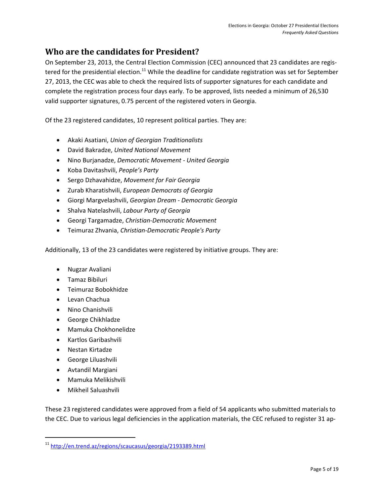#### <span id="page-6-0"></span>**Who are the candidates for President?**

On September 23, 2013, the Central Election Commission (CEC) announced that 23 candidates are registered for the presidential election.<sup>11</sup> While the deadline for candidate registration was set for September 27, 2013, the CEC was able to check the required lists of supporter signatures for each candidate and complete the registration process four days early. To be approved, lists needed a minimum of 26,530 valid supporter signatures, 0.75 percent of the registered voters in Georgia.

Of the 23 registered candidates, 10 represent political parties. They are:

- Akaki Asatiani, *Union of Georgian Traditionalists*
- David Bakradze, *United National Movement*
- Nino Burjanadze, *Democratic Movement - United Georgia*
- Koba Davitashvili, *People's Party*
- Sergo Dzhavahidze, *Movement for Fair Georgia*
- Zurab Kharatishvili, *European Democrats of Georgia*
- Giorgi Margvelashvili, *Georgian Dream - Democratic Georgia*
- Shalva Natelashvili, *Labour Party of Georgia*
- Georgi Targamadze, *Christian-Democratic Movement*
- Teimuraz Zhvania, *Christian-Democratic People's Party*

Additionally, 13 of the 23 candidates were registered by initiative groups. They are:

- Nugzar Avaliani
- Tamaz Bibiluri
- Teimuraz Bobokhidze
- Levan Chachua
- Nino Chanishvili
- George Chikhladze
- Mamuka Chokhonelidze
- Kartlos Garibashvili
- Nestan Kirtadze
- George Liluashvili
- Avtandil Margiani
- Mamuka Melikishvili
- Mikheil Saluashvili

l

These 23 registered candidates were approved from a field of 54 applicants who submitted materials to the CEC. Due to various legal deficiencies in the application materials, the CEC refused to register 31 ap-

<sup>11</sup> <http://en.trend.az/regions/scaucasus/georgia/2193389.html>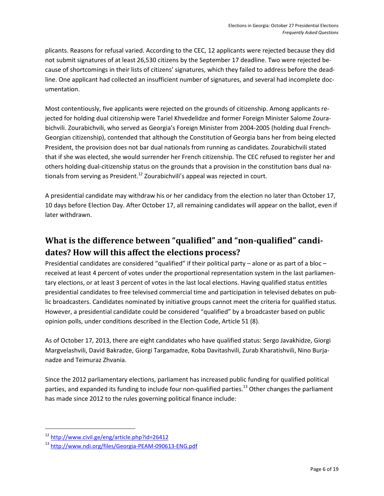plicants. Reasons for refusal varied. According to the CEC, 12 applicants were rejected because they did not submit signatures of at least 26,530 citizens by the September 17 deadline. Two were rejected because of shortcomings in their lists of citizens' signatures, which they failed to address before the deadline. One applicant had collected an insufficient number of signatures, and several had incomplete documentation.

Most contentiously, five applicants were rejected on the grounds of citizenship. Among applicants rejected for holding dual citizenship were Tariel Khvedelidze and former Foreign Minister Salome Zourabichvili. Zourabichvili, who served as Georgia's Foreign Minister from 2004-2005 (holding dual French-Georgian citizenship), contended that although the Constitution of Georgia bans her from being elected President, the provision does not bar dual nationals from running as candidates. Zourabichvili stated that if she was elected, she would surrender her French citizenship. The CEC refused to register her and others holding dual-citizenship status on the grounds that a provision in the constitution bans dual nationals from serving as President.<sup>12</sup> Zourabichvili's appeal was rejected in court.

A presidential candidate may withdraw his or her candidacy from the election no later than October 17, 10 days before Election Day. After October 17, all remaining candidates will appear on the ballot, even if later withdrawn.

## <span id="page-7-0"></span>**What is the difference between "qualified" and "non-qualified" candidates? How will this affect the elections process?**

Presidential candidates are considered "qualified" if their political party – alone or as part of a bloc – received at least 4 percent of votes under the proportional representation system in the last parliamentary elections, or at least 3 percent of votes in the last local elections. Having qualified status entitles presidential candidates to free televised commercial time and participation in televised debates on public broadcasters. Candidates nominated by initiative groups cannot meet the criteria for qualified status. However, a presidential candidate could be considered "qualified" by a broadcaster based on public opinion polls, under conditions described in the Election Code, Article 51 (8).

As of October 17, 2013, there are eight candidates who have qualified status: Sergo Javakhidze, Giorgi Margvelashvili, David Bakradze, Giorgi Targamadze, Koba Davitashvili, Zurab Kharatishvili, Nino Burjanadze and Teimuraz Zhvania.

Since the 2012 parliamentary elections, parliament has increased public funding for qualified political parties, and expanded its funding to include four non-qualified parties.<sup>13</sup> Other changes the parliament has made since 2012 to the rules governing political finance include:

<sup>12</sup> <http://www.civil.ge/eng/article.php?id=26412>

<sup>13</sup> <http://www.ndi.org/files/Georgia-PEAM-090613-ENG.pdf>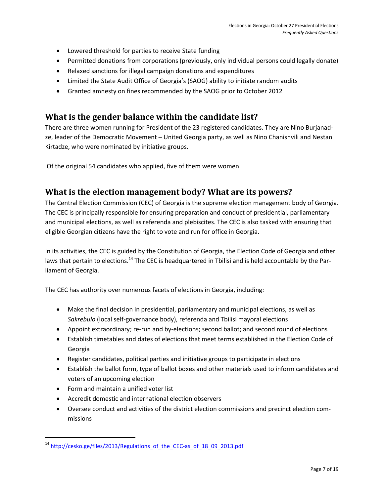- Lowered threshold for parties to receive State funding
- Permitted donations from corporations (previously, only individual persons could legally donate)
- Relaxed sanctions for illegal campaign donations and expenditures
- Limited the State Audit Office of Georgia's (SAOG) ability to initiate random audits
- Granted amnesty on fines recommended by the SAOG prior to October 2012

#### <span id="page-8-0"></span>**What is the gender balance within the candidate list?**

There are three women running for President of the 23 registered candidates. They are Nino Burjanadze, leader of the Democratic Movement – United Georgia party, as well as Nino Chanishvili and Nestan Kirtadze, who were nominated by initiative groups.

<span id="page-8-1"></span>Of the original 54 candidates who applied, five of them were women.

#### **What is the election management body? What are its powers?**

The Central Election Commission (CEC) of Georgia is the supreme election management body of Georgia. The CEC is principally responsible for ensuring preparation and conduct of presidential, parliamentary and municipal elections, as well as referenda and plebiscites. The CEC is also tasked with ensuring that eligible Georgian citizens have the right to vote and run for office in Georgia.

In its activities, the CEC is guided by the Constitution of Georgia, the Election Code of Georgia and other laws that pertain to elections.<sup>14</sup> The CEC is headquartered in Tbilisi and is held accountable by the Parliament of Georgia.

The CEC has authority over numerous facets of elections in Georgia, including:

- Make the final decision in presidential, parliamentary and municipal elections, as well as *Sakrebulo* (local self-governance body), referenda and Tbilisi mayoral elections
- Appoint extraordinary; re-run and by-elections; second ballot; and second round of elections
- Establish timetables and dates of elections that meet terms established in the Election Code of Georgia
- Register candidates, political parties and initiative groups to participate in elections
- Establish the ballot form, type of ballot boxes and other materials used to inform candidates and voters of an upcoming election
- Form and maintain a unified voter list

l

- Accredit domestic and international election observers
- Oversee conduct and activities of the district election commissions and precinct election commissions

<sup>&</sup>lt;sup>14</sup> [http://cesko.ge/files/2013/Regulations\\_of\\_the\\_CEC-as\\_of\\_18\\_09\\_2013.pdf](http://cesko.ge/files/2013/Regulations_of_the_CEC-as_of_18_09_2013.pdf)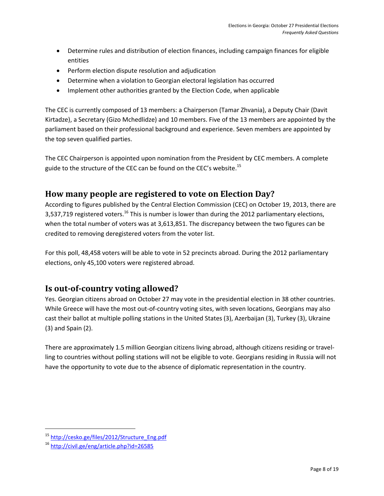- Determine rules and distribution of election finances, including campaign finances for eligible entities
- Perform election dispute resolution and adjudication
- Determine when a violation to Georgian electoral legislation has occurred
- Implement other authorities granted by the Election Code, when applicable

The CEC is currently composed of 13 members: a Chairperson (Tamar Zhvania), a Deputy Chair (Davit Kirtadze), a Secretary (Gizo Mchedlidze) and 10 members. Five of the 13 members are appointed by the parliament based on their professional background and experience. Seven members are appointed by the top seven qualified parties.

The CEC Chairperson is appointed upon nomination from the President by CEC members. A complete guide to the structure of the CEC can be found on the CEC's website.<sup>15</sup>

#### <span id="page-9-0"></span>**How many people are registered to vote on Election Day?**

According to figures published by the Central Election Commission (CEC) on October 19, 2013, there are 3,537,719 registered voters.<sup>16</sup> This is number is lower than during the 2012 parliamentary elections, when the total number of voters was at 3,613,851. The discrepancy between the two figures can be credited to removing deregistered voters from the voter list.

For this poll, 48,458 voters will be able to vote in 52 precincts abroad. During the 2012 parliamentary elections, only 45,100 voters were registered abroad.

#### <span id="page-9-1"></span>**Is out-of-country voting allowed?**

Yes. Georgian citizens abroad on October 27 may vote in the presidential election in 38 other countries. While Greece will have the most out-of-country voting sites, with seven locations, Georgians may also cast their ballot at multiple polling stations in the United States (3), Azerbaijan (3), Turkey (3), Ukraine (3) and Spain (2).

There are approximately 1.5 million Georgian citizens living abroad, although citizens residing or travelling to countries without polling stations will not be eligible to vote. Georgians residing in Russia will not have the opportunity to vote due to the absence of diplomatic representation in the country.

<sup>15</sup> [http://cesko.ge/files/2012/Structure\\_Eng.pdf](http://cesko.ge/files/2012/Structure_Eng.pdf)

<sup>16</sup> <http://civil.ge/eng/article.php?id=26585>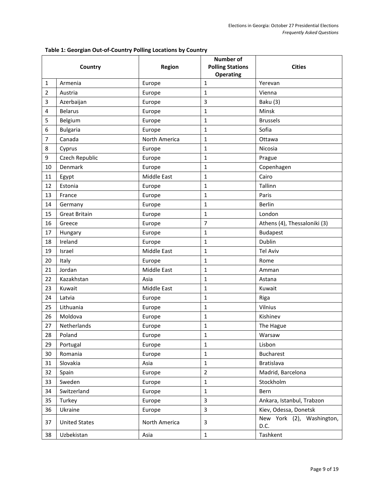| Table 1: Georgian Out-of-Country Polling Locations by Country |  |  |  |  |
|---------------------------------------------------------------|--|--|--|--|
|---------------------------------------------------------------|--|--|--|--|

| Country |                      | Region        | Number of<br><b>Polling Stations</b> | <b>Cities</b>                     |  |
|---------|----------------------|---------------|--------------------------------------|-----------------------------------|--|
|         |                      |               | <b>Operating</b>                     |                                   |  |
| 1       | Armenia              | Europe        | 1                                    | Yerevan                           |  |
| 2       | Austria              | Europe        | $\mathbf{1}$                         | Vienna                            |  |
| 3       | Azerbaijan           | Europe        | 3                                    | Baku (3)                          |  |
| 4       | <b>Belarus</b>       | Europe        | 1                                    | Minsk                             |  |
| 5       | Belgium              | Europe        | 1                                    | <b>Brussels</b>                   |  |
| 6       | <b>Bulgaria</b>      | Europe        | 1                                    | Sofia                             |  |
| 7       | Canada               | North America | $\mathbf{1}$                         | Ottawa                            |  |
| 8       | Cyprus               | Europe        | 1                                    | Nicosia                           |  |
| 9       | Czech Republic       | Europe        | 1                                    | Prague                            |  |
| 10      | Denmark              | Europe        | $\mathbf{1}$                         | Copenhagen                        |  |
| 11      | Egypt                | Middle East   | $\mathbf{1}$                         | Cairo                             |  |
| 12      | Estonia              | Europe        | 1                                    | Tallinn                           |  |
| 13      | France               | Europe        | $\mathbf{1}$                         | Paris                             |  |
| 14      | Germany              | Europe        | $\mathbf{1}$                         | <b>Berlin</b>                     |  |
| 15      | <b>Great Britain</b> | Europe        | $\mathbf{1}$                         | London                            |  |
| 16      | Greece               | Europe        | 7                                    | Athens (4), Thessaloniki (3)      |  |
| 17      | Hungary              | Europe        | 1                                    | <b>Budapest</b>                   |  |
| 18      | Ireland              | Europe        | 1                                    | Dublin                            |  |
| 19      | Israel               | Middle East   | $\mathbf{1}$                         | <b>Tel Aviv</b>                   |  |
| 20      | Italy                | Europe        | 1                                    | Rome                              |  |
| 21      | Jordan               | Middle East   | 1                                    | Amman                             |  |
| 22      | Kazakhstan           | Asia          | 1                                    | Astana                            |  |
| 23      | Kuwait               | Middle East   | $\mathbf{1}$                         | Kuwait                            |  |
| 24      | Latvia               | Europe        | 1                                    | Riga                              |  |
| 25      | Lithuania            | Europe        | $\mathbf 1$                          | Vilnius                           |  |
| 26      | Moldova              | Europe        | 1                                    | Kishinev                          |  |
| 27      | Netherlands          | Europe        | $\mathbf{1}$                         | The Hague                         |  |
| 28      | Poland               | Europe        | $\mathbf{1}$                         | Warsaw                            |  |
| 29      | Portugal             | Europe        | $\mathbf{1}$                         | Lisbon                            |  |
| 30      | Romania              | Europe        | $\mathbf{1}$                         | <b>Bucharest</b>                  |  |
| 31      | Slovakia             | Asia          | $\mathbf{1}$                         | Bratislava                        |  |
| 32      | Spain                | Europe        | $\overline{2}$                       | Madrid, Barcelona                 |  |
| 33      | Sweden               | Europe        | $\mathbf{1}$                         | Stockholm                         |  |
| 34      | Switzerland          | Europe        | $\mathbf{1}$                         | Bern                              |  |
| 35      | Turkey               | Europe        | $\overline{3}$                       | Ankara, Istanbul, Trabzon         |  |
| 36      | Ukraine              | Europe        | $\overline{3}$                       | Kiev, Odessa, Donetsk             |  |
| 37      | <b>United States</b> | North America | 3                                    | New York (2), Washington,<br>D.C. |  |
| 38      | Uzbekistan           | Asia          | $\mathbf 1$                          | Tashkent                          |  |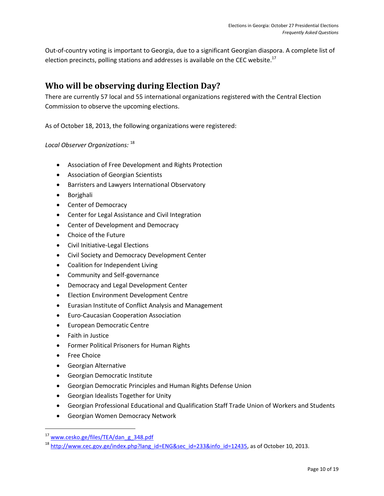Out-of-country voting is important to Georgia, due to a significant Georgian diaspora. A complete list of election precincts, polling stations and addresses is available on the CEC website.<sup>17</sup>

#### <span id="page-11-0"></span>**Who will be observing during Election Day?**

There are currently 57 local and 55 international organizations registered with the Central Election Commission to observe the upcoming elections.

As of October 18, 2013, the following organizations were registered:

#### *Local Observer Organizations:* <sup>18</sup>

- Association of Free Development and Rights Protection
- Association of Georgian Scientists
- Barristers and Lawyers International Observatory
- Borjghali
- Center of Democracy
- Center for Legal Assistance and Civil Integration
- Center of Development and Democracy
- Choice of the Future
- Civil Initiative-Legal Elections
- Civil Society and Democracy Development Center
- Coalition for Independent Living
- Community and Self-governance
- **•** Democracy and Legal Development Center
- Election Environment Development Centre
- Eurasian Institute of Conflict Analysis and Management
- Euro-Caucasian Cooperation Association
- **•** European Democratic Centre
- Faith in Justice
- Former Political Prisoners for Human Rights
- Free Choice

- Georgian Alternative
- Georgian Democratic Institute
- Georgian Democratic Principles and Human Rights Defense Union
- Georgian Idealists Together for Unity
- Georgian Professional Educational and Qualification Staff Trade Union of Workers and Students
- Georgian Women Democracy Network

<sup>17</sup> [www.cesko.ge/files/TEA/dan\\_g\\_348.pdf](http://www.cesko.ge/files/TEA/dan_g_348.pdf)

<sup>&</sup>lt;sup>18</sup> [http://www.cec.gov.ge/index.php?lang\\_id=ENG&sec\\_id=233&info\\_id=12435,](http://www.cec.gov.ge/index.php?lang_id=ENG&sec_id=233&info_id=12435) as of October 10, 2013.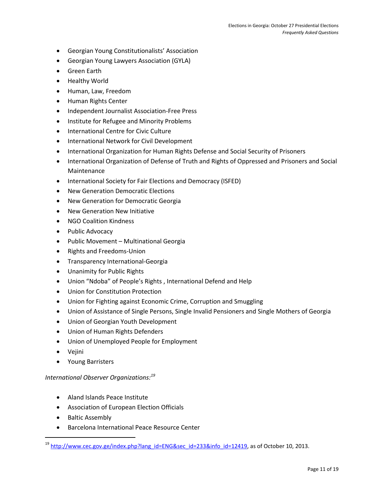- Georgian Young Constitutionalists' Association
- Georgian Young Lawyers Association (GYLA)
- **•** Green Earth
- Healthy World
- Human, Law, Freedom
- Human Rights Center
- Independent Journalist Association-Free Press
- Institute for Refugee and Minority Problems
- International Centre for Civic Culture
- **•** International Network for Civil Development
- International Organization for Human Rights Defense and Social Security of Prisoners
- International Organization of Defense of Truth and Rights of Oppressed and Prisoners and Social Maintenance
- International Society for Fair Elections and Democracy (ISFED)
- New Generation Democratic Elections
- New Generation for Democratic Georgia
- New Generation New Initiative
- NGO Coalition Kindness
- Public Advocacy
- Public Movement Multinational Georgia
- Rights and Freedoms-Union
- **•** Transparency International-Georgia
- Unanimity for Public Rights
- Union "Ndoba" of People's Rights , International Defend and Help
- Union for Constitution Protection
- Union for Fighting against Economic Crime, Corruption and Smuggling
- Union of Assistance of Single Persons, Single Invalid Pensioners and Single Mothers of Georgia
- Union of Georgian Youth Development
- Union of Human Rights Defenders
- Union of Unemployed People for Employment
- Vejini

l

Young Barristers

#### *International Observer Organizations:<sup>19</sup>*

- Aland Islands Peace Institute
- Association of European Election Officials
- Baltic Assembly
- Barcelona International Peace Resource Center

<sup>&</sup>lt;sup>19</sup> [http://www.cec.gov.ge/index.php?lang\\_id=ENG&sec\\_id=233&info\\_id=12419,](http://www.cec.gov.ge/index.php?lang_id=ENG&sec_id=233&info_id=12419) as of October 10, 2013.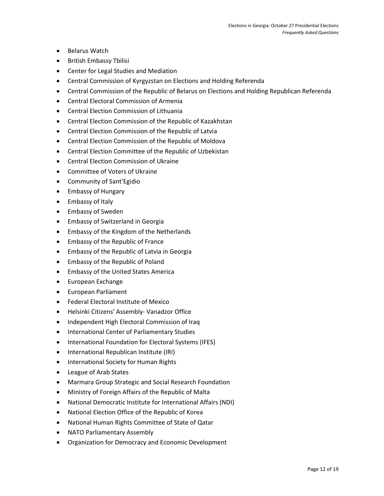- Belarus Watch
- **•** British Embassy Tbilisi
- Center for Legal Studies and Mediation
- Central Commission of Kyrgyzstan on Elections and Holding Referenda
- Central Commission of the Republic of Belarus on Elections and Holding Republican Referenda
- Central Electoral Commission of Armenia
- Central Election Commission of Lithuania
- Central Election Commission of the Republic of Kazakhstan
- Central Election Commission of the Republic of Latvia
- Central Election Commission of the Republic of Moldova
- Central Election Committee of the Republic of Uzbekistan
- Central Election Commission of Ukraine
- Committee of Voters of Ukraine
- Community of Sant'Egidio
- Embassy of Hungary
- Embassy of Italy
- **•** Embassy of Sweden
- Embassy of Switzerland in Georgia
- Embassy of the Kingdom of the Netherlands
- Embassy of the Republic of France
- **•** Embassy of the Republic of Latvia in Georgia
- Embassy of the Republic of Poland
- **•** Embassy of the United States America
- European Exchange
- **•** European Parliament
- Federal Electoral Institute of Mexico
- Helsinki Citizens' Assembly- Vanadzor Office
- Independent High Electoral Commission of Iraq
- **International Center of Parliamentary Studies**
- International Foundation for Electoral Systems (IFES)
- International Republican Institute (IRI)
- International Society for Human Rights
- League of Arab States
- Marmara Group Strategic and Social Research Foundation
- Ministry of Foreign Affairs of the Republic of Malta
- National Democratic Institute for International Affairs (NDI)
- National Election Office of the Republic of Korea
- National Human Rights Committee of State of Qatar
- NATO Parliamentary Assembly
- Organization for Democracy and Economic Development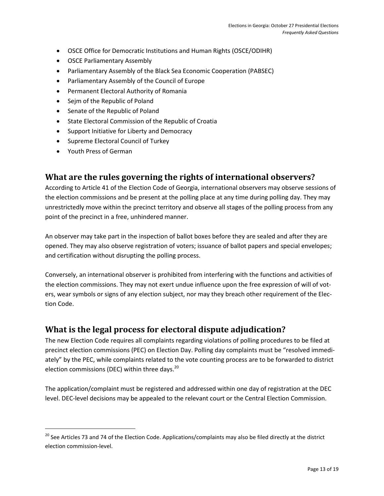- OSCE Office for Democratic Institutions and Human Rights (OSCE/ODIHR)
- OSCE Parliamentary Assembly
- Parliamentary Assembly of the Black Sea Economic Cooperation (PABSEC)
- Parliamentary Assembly of the Council of Europe
- Permanent Electoral Authority of Romania
- Sejm of the Republic of Poland
- Senate of the Republic of Poland
- State Electoral Commission of the Republic of Croatia
- Support Initiative for Liberty and Democracy
- Supreme Electoral Council of Turkey
- Youth Press of German

 $\overline{\phantom{a}}$ 

#### <span id="page-14-0"></span>**What are the rules governing the rights of international observers?**

According to Article 41 of the Election Code of Georgia, international observers may observe sessions of the election commissions and be present at the polling place at any time during polling day. They may unrestrictedly move within the precinct territory and observe all stages of the polling process from any point of the precinct in a free, unhindered manner.

An observer may take part in the inspection of ballot boxes before they are sealed and after they are opened. They may also observe registration of voters; issuance of ballot papers and special envelopes; and certification without disrupting the polling process.

Conversely, an international observer is prohibited from interfering with the functions and activities of the election commissions. They may not exert undue influence upon the free expression of will of voters, wear symbols or signs of any election subject, nor may they breach other requirement of the Election Code.

#### <span id="page-14-1"></span>**What is the legal process for electoral dispute adjudication?**

The new Election Code requires all complaints regarding violations of polling procedures to be filed at precinct election commissions (PEC) on Election Day. Polling day complaints must be "resolved immediately" by the PEC, while complaints related to the vote counting process are to be forwarded to district election commissions (DEC) within three days. $^{20}$ 

The application/complaint must be registered and addressed within one day of registration at the DEC level. DEC-level decisions may be appealed to the relevant court or the Central Election Commission.

<sup>&</sup>lt;sup>20</sup> See Articles 73 and 74 of the Election Code. Applications/complaints may also be filed directly at the district election commission-level.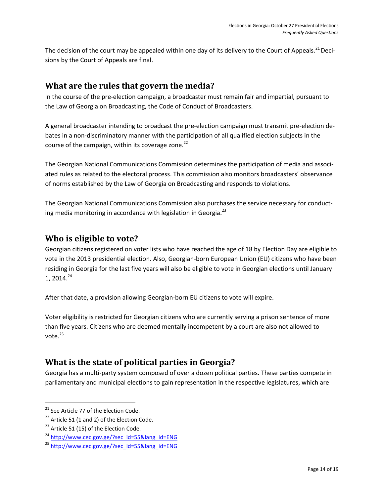The decision of the court may be appealed within one day of its delivery to the Court of Appeals.<sup>21</sup> Decisions by the Court of Appeals are final.

#### <span id="page-15-0"></span>**What are the rules that govern the media?**

In the course of the pre-election campaign, a broadcaster must remain fair and impartial, pursuant to the Law of Georgia on Broadcasting, the Code of Conduct of Broadcasters.

A general broadcaster intending to broadcast the pre-election campaign must transmit pre-election debates in a non-discriminatory manner with the participation of all qualified election subjects in the course of the campaign, within its coverage zone.<sup>22</sup>

The Georgian National Communications Commission determines the participation of media and associated rules as related to the electoral process. This commission also monitors broadcasters' observance of norms established by the Law of Georgia on Broadcasting and responds to violations.

The Georgian National Communications Commission also purchases the service necessary for conducting media monitoring in accordance with legislation in Georgia. $^{23}$ 

#### <span id="page-15-1"></span>**Who is eligible to vote?**

Georgian citizens registered on voter lists who have reached the age of 18 by Election Day are eligible to vote in the 2013 presidential election. Also, Georgian-born European Union (EU) citizens who have been residing in Georgia for the last five years will also be eligible to vote in Georgian elections until January 1, 2014. 24

After that date, a provision allowing Georgian-born EU citizens to vote will expire.

Voter eligibility is restricted for Georgian citizens who are currently serving a prison sentence of more than five years. Citizens who are deemed mentally incompetent by a court are also not allowed to vote.<sup>25</sup>

### <span id="page-15-2"></span>**What is the state of political parties in Georgia?**

Georgia has a multi-party system composed of over a dozen political parties. These parties compete in parliamentary and municipal elections to gain representation in the respective legislatures, which are

<sup>&</sup>lt;sup>21</sup> See Article 77 of the Election Code.

 $22$  Article 51 (1 and 2) of the Election Code.

<sup>&</sup>lt;sup>23</sup> Article 51 (15) of the Election Code.

<sup>&</sup>lt;sup>24</sup> [http://www.cec.gov.ge/?sec\\_id=55&lang\\_id=ENG](http://www.cec.gov.ge/?sec_id=55&lang_id=ENG)

<sup>25</sup> [http://www.cec.gov.ge/?sec\\_id=55&lang\\_id=ENG](http://www.cec.gov.ge/?sec_id=55&lang_id=ENG)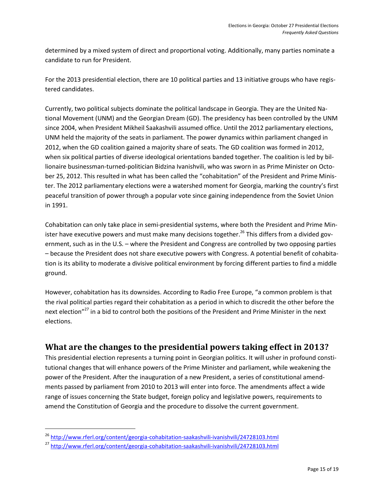determined by a mixed system of direct and proportional voting. Additionally, many parties nominate a candidate to run for President.

For the 2013 presidential election, there are 10 political parties and 13 initiative groups who have registered candidates.

Currently, two political subjects dominate the political landscape in Georgia. They are the United National Movement (UNM) and the Georgian Dream (GD). The presidency has been controlled by the UNM since 2004, when President Mikheil Saakashvili assumed office. Until the 2012 parliamentary elections, UNM held the majority of the seats in parliament. The power dynamics within parliament changed in 2012, when the GD coalition gained a majority share of seats. The GD coalition was formed in 2012, when six political parties of diverse ideological orientations banded together. The coalition is led by billionaire businessman-turned-politician Bidzina Ivanishvili, who was sworn in as Prime Minister on October 25, 2012. This resulted in what has been called the "cohabitation" of the President and Prime Minister. The 2012 parliamentary elections were a watershed moment for Georgia, marking the country's first peaceful transition of power through a popular vote since gaining independence from the Soviet Union in 1991.

Cohabitation can only take place in semi-presidential systems, where both the President and Prime Minister have executive powers and must make many decisions together.<sup>26</sup> This differs from a divided government, such as in the U.S. – where the President and Congress are controlled by two opposing parties – because the President does not share executive powers with Congress. A potential benefit of cohabitation is its ability to moderate a divisive political environment by forcing different parties to find a middle ground.

However, cohabitation has its downsides. According to Radio Free Europe, "a common problem is that the rival political parties regard their cohabitation as a period in which to discredit the other before the next election"<sup>27</sup> in a bid to control both the positions of the President and Prime Minister in the next elections.

#### <span id="page-16-0"></span>**What are the changes to the presidential powers taking effect in 2013?**

This presidential election represents a turning point in Georgian politics. It will usher in profound constitutional changes that will enhance powers of the Prime Minister and parliament, while weakening the power of the President. After the inauguration of a new President, a series of constitutional amendments passed by parliament from 2010 to 2013 will enter into force. The amendments affect a wide range of issues concerning the State budget, foreign policy and legislative powers, requirements to amend the Constitution of Georgia and the procedure to dissolve the current government.

<sup>26</sup> <http://www.rferl.org/content/georgia-cohabitation-saakashvili-ivanishvili/24728103.html>

<sup>27</sup> <http://www.rferl.org/content/georgia-cohabitation-saakashvili-ivanishvili/24728103.html>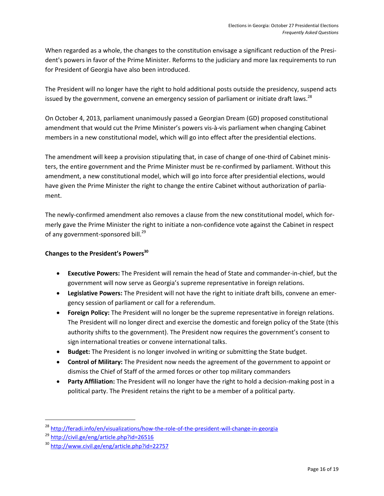When regarded as a whole, the changes to the constitution envisage a significant reduction of the President's powers in favor of the Prime Minister. Reforms to the judiciary and more lax requirements to run for President of Georgia have also been introduced.

The President will no longer have the right to hold additional posts outside the presidency, suspend acts issued by the government, convene an emergency session of parliament or initiate draft laws.<sup>28</sup>

On October 4, 2013, parliament unanimously passed a Georgian Dream (GD) proposed constitutional amendment that would cut the Prime Minister's powers vis-à-vis parliament when changing Cabinet members in a new constitutional model, which will go into effect after the presidential elections.

The amendment will keep a provision stipulating that, in case of change of one-third of Cabinet ministers, the entire government and the Prime Minister must be re-confirmed by parliament. Without this amendment, a new constitutional model, which will go into force after presidential elections, would have given the Prime Minister the right to change the entire Cabinet without authorization of parliament.

The newly-confirmed amendment also removes a clause from the new constitutional model, which formerly gave the Prime Minister the right to initiate a non-confidence vote against the Cabinet in respect of any government-sponsored bill.<sup>29</sup>

#### **Changes to the President's Powers<sup>30</sup>**

- **Executive Powers:** The President will remain the head of State and commander-in-chief, but the government will now serve as Georgia's supreme representative in foreign relations.
- **Legislative Powers:** The President will not have the right to initiate draft bills, convene an emergency session of parliament or call for a referendum.
- **Foreign Policy:** The President will no longer be the supreme representative in foreign relations. The President will no longer direct and exercise the domestic and foreign policy of the State (this authority shifts to the government). The President now requires the government's consent to sign international treaties or convene international talks.
- **Budget:** The President is no longer involved in writing or submitting the State budget.
- **Control of Military:** The President now needs the agreement of the government to appoint or dismiss the Chief of Staff of the armed forces or other top military commanders
- **Party Affiliation:** The President will no longer have the right to hold a decision-making post in a political party. The President retains the right to be a member of a political party.

<sup>&</sup>lt;sup>28</sup> <http://feradi.info/en/visualizations/how-the-role-of-the-president-will-change-in-georgia>

<sup>29</sup> <http://civil.ge/eng/article.php?id=26516>

<sup>30</sup> <http://www.civil.ge/eng/article.php?id=22757>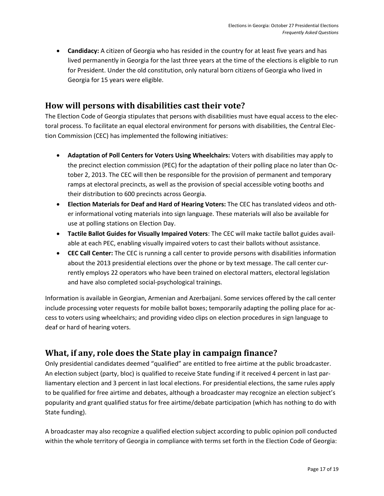**Candidacy:** A citizen of Georgia who has resided in the country for at least five years and has lived permanently in Georgia for the last three years at the time of the elections is eligible to run for President. Under the old constitution, only natural born citizens of Georgia who lived in Georgia for 15 years were eligible.

#### <span id="page-18-0"></span>**How will persons with disabilities cast their vote?**

The Election Code of Georgia stipulates that persons with disabilities must have equal access to the electoral process. To facilitate an equal electoral environment for persons with disabilities, the Central Election Commission (CEC) has implemented the following initiatives:

- **Adaptation of Poll Centers for Voters Using Wheelchairs:** Voters with disabilities may apply to the precinct election commission (PEC) for the adaptation of their polling place no later than October 2, 2013. The CEC will then be responsible for the provision of permanent and temporary ramps at electoral precincts, as well as the provision of special accessible voting booths and their distribution to 600 precincts across Georgia.
- **Election Materials for Deaf and Hard of Hearing Voters:** The CEC has translated videos and other informational voting materials into sign language. These materials will also be available for use at polling stations on Election Day.
- **Tactile Ballot Guides for Visually Impaired Voters**: The CEC will make tactile ballot guides available at each PEC, enabling visually impaired voters to cast their ballots without assistance.
- **CEC Call Center:** The CEC is running a call center to provide persons with disabilities information about the 2013 presidential elections over the phone or by text message. The call center currently employs 22 operators who have been trained on electoral matters, electoral legislation and have also completed social-psychological trainings.

Information is available in Georgian, Armenian and Azerbaijani. Some services offered by the call center include processing voter requests for mobile ballot boxes; temporarily adapting the polling place for access to voters using wheelchairs; and providing video clips on election procedures in sign language to deaf or hard of hearing voters.

#### <span id="page-18-1"></span>**What, if any, role does the State play in campaign finance?**

Only presidential candidates deemed "qualified" are entitled to free airtime at the public broadcaster. An election subject (party, bloc) is qualified to receive State funding if it received 4 percent in last parliamentary election and 3 percent in last local elections. For presidential elections, the same rules apply to be qualified for free airtime and debates, although a broadcaster may recognize an election subject's popularity and grant qualified status for free airtime/debate participation (which has nothing to do with State funding).

A broadcaster may also recognize a qualified election subject according to public opinion poll conducted within the whole territory of Georgia in compliance with terms set forth in the Election Code of Georgia: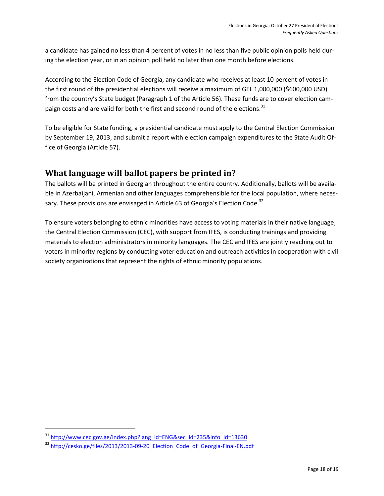a candidate has gained no less than 4 percent of votes in no less than five public opinion polls held during the election year, or in an opinion poll held no later than one month before elections.

According to the Election Code of Georgia, any candidate who receives at least 10 percent of votes in the first round of the presidential elections will receive a maximum of GEL 1,000,000 (\$600,000 USD) from the country's State budget (Paragraph 1 of the Article 56). These funds are to cover election campaign costs and are valid for both the first and second round of the elections. $31$ 

To be eligible for State funding, a presidential candidate must apply to the Central Election Commission by September 19, 2013, and submit a report with election campaign expenditures to the State Audit Office of Georgia (Article 57).

#### <span id="page-19-0"></span>**What language will ballot papers be printed in?**

The ballots will be printed in Georgian throughout the entire country. Additionally, ballots will be available in Azerbaijani, Armenian and other languages comprehensible for the local population, where necessary. These provisions are envisaged in Article 63 of Georgia's Election Code.<sup>32</sup>

To ensure voters belonging to ethnic minorities have access to voting materials in their native language, the Central Election Commission (CEC), with support from IFES, is conducting trainings and providing materials to election administrators in minority languages. The CEC and IFES are jointly reaching out to voters in minority regions by conducting voter education and outreach activities in cooperation with civil society organizations that represent the rights of ethnic minority populations.

<sup>&</sup>lt;sup>31</sup> [http://www.cec.gov.ge/index.php?lang\\_id=ENG&sec\\_id=235&info\\_id=13630](http://www.cec.gov.ge/index.php?lang_id=ENG&sec_id=235&info_id=13630)

<sup>&</sup>lt;sup>32</sup> http://cesko.ge/files/2013/2013-09-20 Election Code of Georgia-Final-EN.pdf